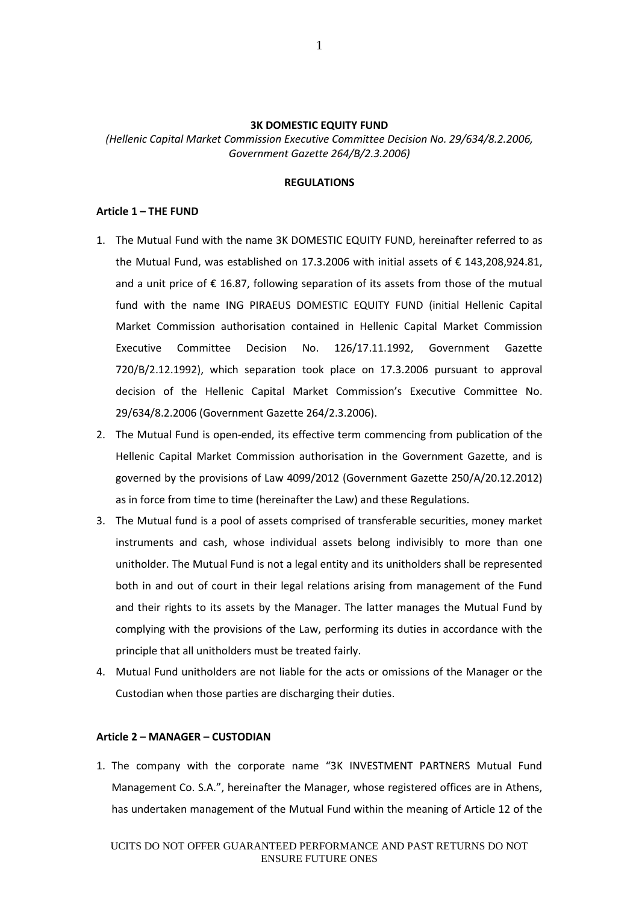### **3K DOMESTIC EQUITY FUND**

*(Hellenic Capital Market Commission Executive Committee Decision No. 29/634/8.2.2006, Government Gazette 264/B/2.3.2006)*

# **REGULATIONS**

#### **Article 1 – THE FUND**

- 1. The Mutual Fund with the name 3K DOMESTIC EQUITY FUND, hereinafter referred to as the Mutual Fund, was established on 17.3.2006 with initial assets of € 143,208,924.81, and a unit price of  $\epsilon$  16.87, following separation of its assets from those of the mutual fund with the name ING PIRAEUS DOMESTIC EQUITY FUND (initial Hellenic Capital Market Commission authorisation contained in Hellenic Capital Market Commission Executive Committee Decision No. 126/17.11.1992, Government Gazette 720/B/2.12.1992), which separation took place on 17.3.2006 pursuant to approval decision of the Hellenic Capital Market Commission's Executive Committee No. 29/634/8.2.2006 (Government Gazette 264/2.3.2006).
- 2. The Mutual Fund is open-ended, its effective term commencing from publication of the Hellenic Capital Market Commission authorisation in the Government Gazette, and is governed by the provisions of Law 4099/2012 (Government Gazette 250/A/20.12.2012) as in force from time to time (hereinafter the Law) and these Regulations.
- 3. The Mutual fund is a pool of assets comprised of transferable securities, money market instruments and cash, whose individual assets belong indivisibly to more than one unitholder. The Mutual Fund is not a legal entity and its unitholders shall be represented both in and out of court in their legal relations arising from management of the Fund and their rights to its assets by the Manager. The latter manages the Mutual Fund by complying with the provisions of the Law, performing its duties in accordance with the principle that all unitholders must be treated fairly.
- 4. Mutual Fund unitholders are not liable for the acts or omissions of the Manager or the Custodian when those parties are discharging their duties.

## **Article 2 – MANAGER – CUSTODIAN**

1. The company with the corporate name "3K INVESTMENT PARTNERS Mutual Fund Management Co. S.A.", hereinafter the Manager, whose registered offices are in Athens, has undertaken management of the Mutual Fund within the meaning of Article 12 of the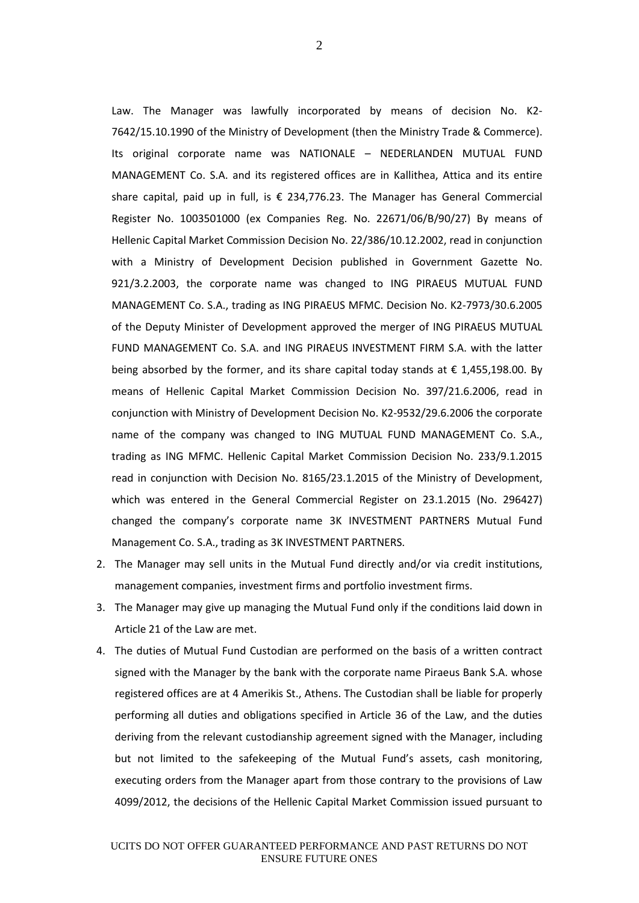Law. The Manager was lawfully incorporated by means of decision No. Κ2- 7642/15.10.1990 of the Ministry of Development (then the Ministry Trade & Commerce). Its original corporate name was NATIONALE – NEDERLANDEN MUTUAL FUND MANAGEMENT Co. S.A. and its registered offices are in Kallithea, Attica and its entire share capital, paid up in full, is  $\epsilon$  234,776.23. The Manager has General Commercial Register No. 1003501000 (ex Companies Reg. No. 22671/06/Β/90/27) By means of Hellenic Capital Market Commission Decision No. 22/386/10.12.2002, read in conjunction with a Ministry of Development Decision published in Government Gazette No. 921/3.2.2003, the corporate name was changed to ING PIRAEUS MUTUAL FUND MANAGEMENT Co. S.A., trading as ING PIRAEUS MFMC. Decision No. Κ2-7973/30.6.2005 of the Deputy Minister of Development approved the merger of ING PIRAEUS MUTUAL FUND MANAGEMENT Co. S.A. and ING PIRAEUS INVESTMENT FIRM S.A. with the latter being absorbed by the former, and its share capital today stands at  $\epsilon$  1,455,198.00. By means of Hellenic Capital Market Commission Decision No. 397/21.6.2006, read in conjunction with Ministry of Development Decision No. K2-9532/29.6.2006 the corporate name of the company was changed to ING MUTUAL FUND MANAGEMENT Co. S.A., trading as ING MFMC. Hellenic Capital Market Commission Decision No. 233/9.1.2015 read in conjunction with Decision No. 8165/23.1.2015 of the Ministry of Development, which was entered in the General Commercial Register on 23.1.2015 (No. 296427) changed the company's corporate name 3K INVESTMENT PARTNERS Mutual Fund Management Co. S.A., trading as 3K INVESTMENT PARTNERS.

- 2. The Manager may sell units in the Mutual Fund directly and/or via credit institutions, management companies, investment firms and portfolio investment firms.
- 3. The Manager may give up managing the Mutual Fund only if the conditions laid down in Article 21 of the Law are met.
- 4. The duties of Mutual Fund Custodian are performed on the basis of a written contract signed with the Manager by the bank with the corporate name Piraeus Bank S.A. whose registered offices are at 4 Amerikis St., Athens. The Custodian shall be liable for properly performing all duties and obligations specified in Article 36 of the Law, and the duties deriving from the relevant custodianship agreement signed with the Manager, including but not limited to the safekeeping of the Mutual Fund's assets, cash monitoring, executing orders from the Manager apart from those contrary to the provisions of Law 4099/2012, the decisions of the Hellenic Capital Market Commission issued pursuant to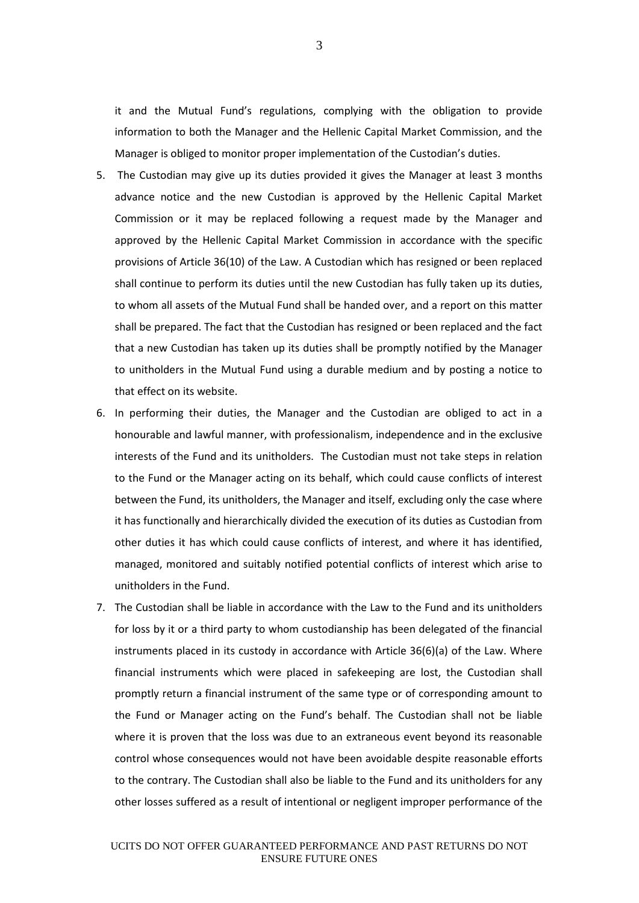it and the Mutual Fund's regulations, complying with the obligation to provide information to both the Manager and the Hellenic Capital Market Commission, and the Manager is obliged to monitor proper implementation of the Custodian's duties.

- 5. The Custodian may give up its duties provided it gives the Manager at least 3 months advance notice and the new Custodian is approved by the Hellenic Capital Market Commission or it may be replaced following a request made by the Manager and approved by the Hellenic Capital Market Commission in accordance with the specific provisions of Article 36(10) of the Law. A Custodian which has resigned or been replaced shall continue to perform its duties until the new Custodian has fully taken up its duties, to whom all assets of the Mutual Fund shall be handed over, and a report on this matter shall be prepared. The fact that the Custodian has resigned or been replaced and the fact that a new Custodian has taken up its duties shall be promptly notified by the Manager to unitholders in the Mutual Fund using a durable medium and by posting a notice to that effect on its website.
- 6. In performing their duties, the Manager and the Custodian are obliged to act in a honourable and lawful manner, with professionalism, independence and in the exclusive interests of the Fund and its unitholders. The Custodian must not take steps in relation to the Fund or the Manager acting on its behalf, which could cause conflicts of interest between the Fund, its unitholders, the Manager and itself, excluding only the case where it has functionally and hierarchically divided the execution of its duties as Custodian from other duties it has which could cause conflicts of interest, and where it has identified, managed, monitored and suitably notified potential conflicts of interest which arise to unitholders in the Fund.
- 7. The Custodian shall be liable in accordance with the Law to the Fund and its unitholders for loss by it or a third party to whom custodianship has been delegated of the financial instruments placed in its custody in accordance with Article 36(6)(a) of the Law. Where financial instruments which were placed in safekeeping are lost, the Custodian shall promptly return a financial instrument of the same type or of corresponding amount to the Fund or Manager acting on the Fund's behalf. The Custodian shall not be liable where it is proven that the loss was due to an extraneous event beyond its reasonable control whose consequences would not have been avoidable despite reasonable efforts to the contrary. The Custodian shall also be liable to the Fund and its unitholders for any other losses suffered as a result of intentional or negligent improper performance of the

3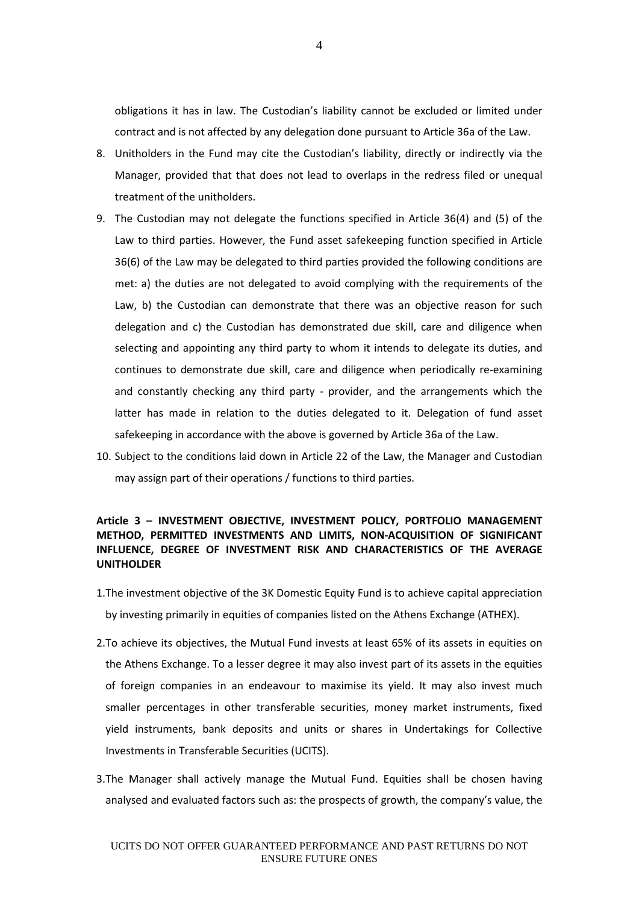obligations it has in law. The Custodian's liability cannot be excluded or limited under contract and is not affected by any delegation done pursuant to Article 36a of the Law.

- 8. Unitholders in the Fund may cite the Custodian's liability, directly or indirectly via the Manager, provided that that does not lead to overlaps in the redress filed or unequal treatment of the unitholders.
- 9. The Custodian may not delegate the functions specified in Article 36(4) and (5) of the Law to third parties. However, the Fund asset safekeeping function specified in Article 36(6) of the Law may be delegated to third parties provided the following conditions are met: a) the duties are not delegated to avoid complying with the requirements of the Law, b) the Custodian can demonstrate that there was an objective reason for such delegation and c) the Custodian has demonstrated due skill, care and diligence when selecting and appointing any third party to whom it intends to delegate its duties, and continues to demonstrate due skill, care and diligence when periodically re-examining and constantly checking any third party - provider, and the arrangements which the latter has made in relation to the duties delegated to it. Delegation of fund asset safekeeping in accordance with the above is governed by Article 36a of the Law.
- 10. Subject to the conditions laid down in Article 22 of the Law, the Manager and Custodian may assign part of their operations / functions to third parties.

# **Article 3 – INVESTMENT OBJECTIVE, INVESTMENT POLICY, PORTFOLIO MANAGEMENT METHOD, PERMITTED INVESTMENTS AND LIMITS, NON-ACQUISITION OF SIGNIFICANT INFLUENCE, DEGREE OF INVESTMENT RISK AND CHARACTERISTICS OF THE AVERAGE UNITHOLDER**

- 1.The investment objective of the 3K Domestic Equity Fund is to achieve capital appreciation by investing primarily in equities of companies listed on the Athens Exchange (ATHEX).
- 2.To achieve its objectives, the Mutual Fund invests at least 65% of its assets in equities on the Athens Exchange. To a lesser degree it may also invest part of its assets in the equities of foreign companies in an endeavour to maximise its yield. It may also invest much smaller percentages in other transferable securities, money market instruments, fixed yield instruments, bank deposits and units or shares in Undertakings for Collective Investments in Transferable Securities (UCITS).
- 3.The Manager shall actively manage the Mutual Fund. Equities shall be chosen having analysed and evaluated factors such as: the prospects of growth, the company's value, the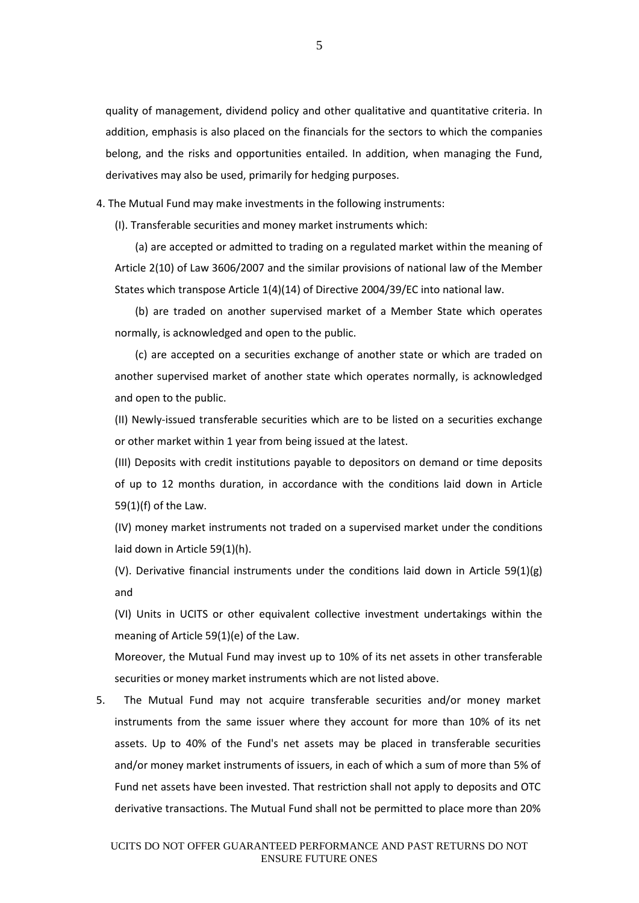quality of management, dividend policy and other qualitative and quantitative criteria. In addition, emphasis is also placed on the financials for the sectors to which the companies belong, and the risks and opportunities entailed. In addition, when managing the Fund, derivatives may also be used, primarily for hedging purposes.

4. The Mutual Fund may make investments in the following instruments:

(I). Transferable securities and money market instruments which:

(a) are accepted or admitted to trading on a regulated market within the meaning of Article 2(10) of Law 3606/2007 and the similar provisions of national law of the Member States which transpose Article 1(4)(14) of Directive 2004/39/EC into national law.

(b) are traded on another supervised market of a Member State which operates normally, is acknowledged and open to the public.

(c) are accepted on a securities exchange of another state or which are traded on another supervised market of another state which operates normally, is acknowledged and open to the public.

(II) Newly-issued transferable securities which are to be listed on a securities exchange or other market within 1 year from being issued at the latest.

(III) Deposits with credit institutions payable to depositors on demand or time deposits of up to 12 months duration, in accordance with the conditions laid down in Article 59(1)(f) of the Law.

(IV) money market instruments not traded on a supervised market under the conditions laid down in Article 59(1)(h).

(V). Derivative financial instruments under the conditions laid down in Article 59(1)(g) and

(VI) Units in UCITS or other equivalent collective investment undertakings within the meaning of Article 59(1)(e) of the Law.

Moreover, the Mutual Fund may invest up to 10% of its net assets in other transferable securities or money market instruments which are not listed above.

5. The Mutual Fund may not acquire transferable securities and/or money market instruments from the same issuer where they account for more than 10% of its net assets. Up to 40% of the Fund's net assets may be placed in transferable securities and/or money market instruments of issuers, in each of which a sum of more than 5% of Fund net assets have been invested. That restriction shall not apply to deposits and OTC derivative transactions. The Mutual Fund shall not be permitted to place more than 20%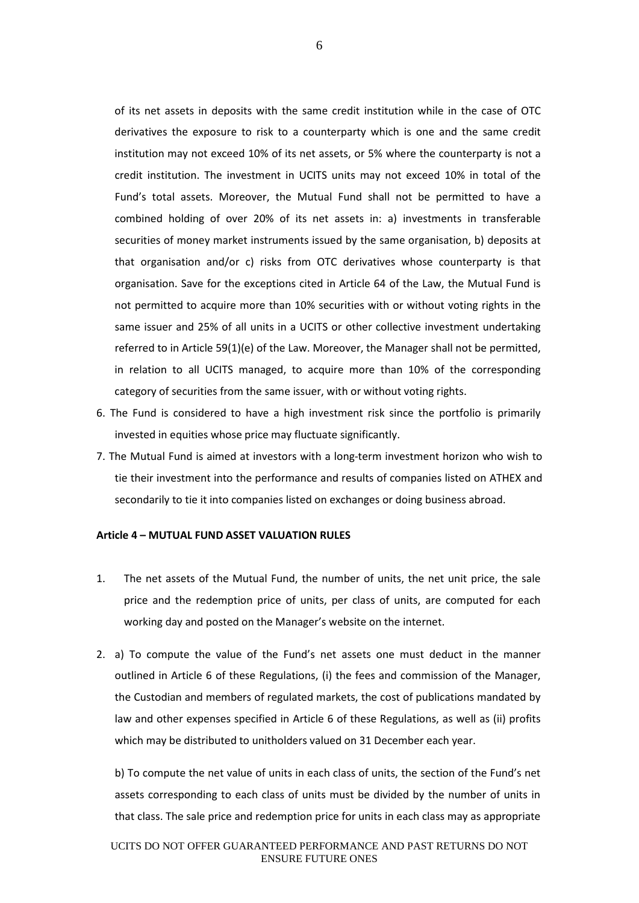of its net assets in deposits with the same credit institution while in the case of OTC derivatives the exposure to risk to a counterparty which is one and the same credit institution may not exceed 10% of its net assets, or 5% where the counterparty is not a credit institution. The investment in UCITS units may not exceed 10% in total of the Fund's total assets. Moreover, the Mutual Fund shall not be permitted to have a combined holding of over 20% of its net assets in: a) investments in transferable securities of money market instruments issued by the same organisation, b) deposits at that organisation and/or c) risks from OTC derivatives whose counterparty is that organisation. Save for the exceptions cited in Article 64 of the Law, the Mutual Fund is not permitted to acquire more than 10% securities with or without voting rights in the same issuer and 25% of all units in a UCITS or other collective investment undertaking referred to in Article 59(1)(e) of the Law. Moreover, the Manager shall not be permitted, in relation to all UCITS managed, to acquire more than 10% of the corresponding category of securities from the same issuer, with or without voting rights.

- 6. The Fund is considered to have a high investment risk since the portfolio is primarily invested in equities whose price may fluctuate significantly.
- 7. The Mutual Fund is aimed at investors with a long-term investment horizon who wish to tie their investment into the performance and results of companies listed on ATHEX and secondarily to tie it into companies listed on exchanges or doing business abroad.

## **Article 4 – MUTUAL FUND ASSET VALUATION RULES**

- 1. The net assets of the Mutual Fund, the number of units, the net unit price, the sale price and the redemption price of units, per class of units, are computed for each working day and posted on the Manager's website on the internet.
- 2. a) To compute the value of the Fund's net assets one must deduct in the manner outlined in Article 6 of these Regulations, (i) the fees and commission of the Manager, the Custodian and members of regulated markets, the cost of publications mandated by law and other expenses specified in Article 6 of these Regulations, as well as (ii) profits which may be distributed to unitholders valued on 31 December each year.

b) To compute the net value of units in each class of units, the section of the Fund's net assets corresponding to each class of units must be divided by the number of units in that class. The sale price and redemption price for units in each class may as appropriate

6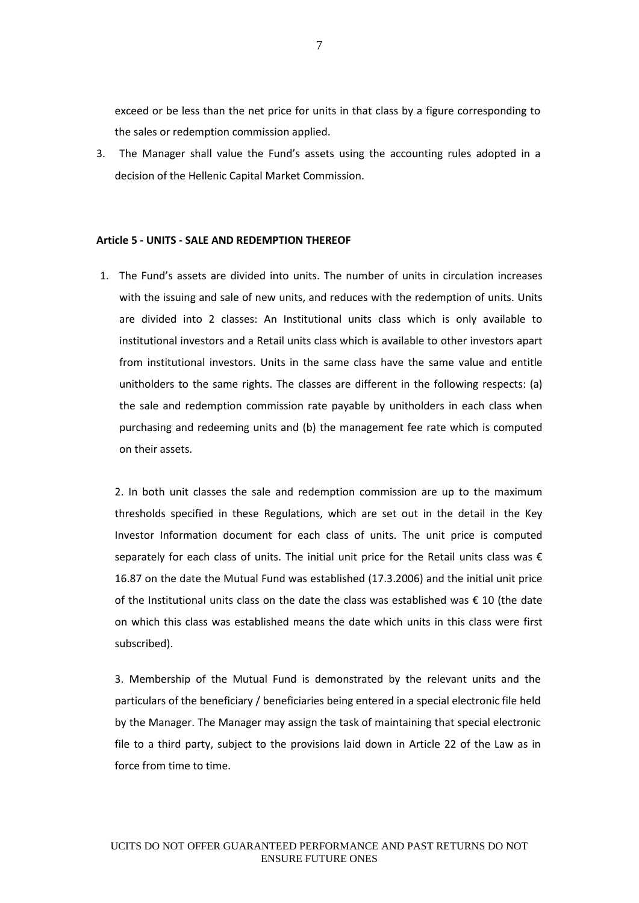exceed or be less than the net price for units in that class by a figure corresponding to the sales or redemption commission applied.

3. The Manager shall value the Fund's assets using the accounting rules adopted in a decision of the Hellenic Capital Market Commission.

### **Article 5 - UNITS - SALE AND REDEMPTION THEREOF**

1. The Fund's assets are divided into units. The number of units in circulation increases with the issuing and sale of new units, and reduces with the redemption of units. Units are divided into 2 classes: An Institutional units class which is only available to institutional investors and a Retail units class which is available to other investors apart from institutional investors. Units in the same class have the same value and entitle unitholders to the same rights. The classes are different in the following respects: (a) the sale and redemption commission rate payable by unitholders in each class when purchasing and redeeming units and (b) the management fee rate which is computed on their assets.

2. In both unit classes the sale and redemption commission are up to the maximum thresholds specified in these Regulations, which are set out in the detail in the Key Investor Information document for each class of units. The unit price is computed separately for each class of units. The initial unit price for the Retail units class was  $\epsilon$ 16.87 on the date the Mutual Fund was established (17.3.2006) and the initial unit price of the Institutional units class on the date the class was established was  $\epsilon$  10 (the date on which this class was established means the date which units in this class were first subscribed).

3. Membership of the Mutual Fund is demonstrated by the relevant units and the particulars of the beneficiary / beneficiaries being entered in a special electronic file held by the Manager. The Manager may assign the task of maintaining that special electronic file to a third party, subject to the provisions laid down in Article 22 of the Law as in force from time to time.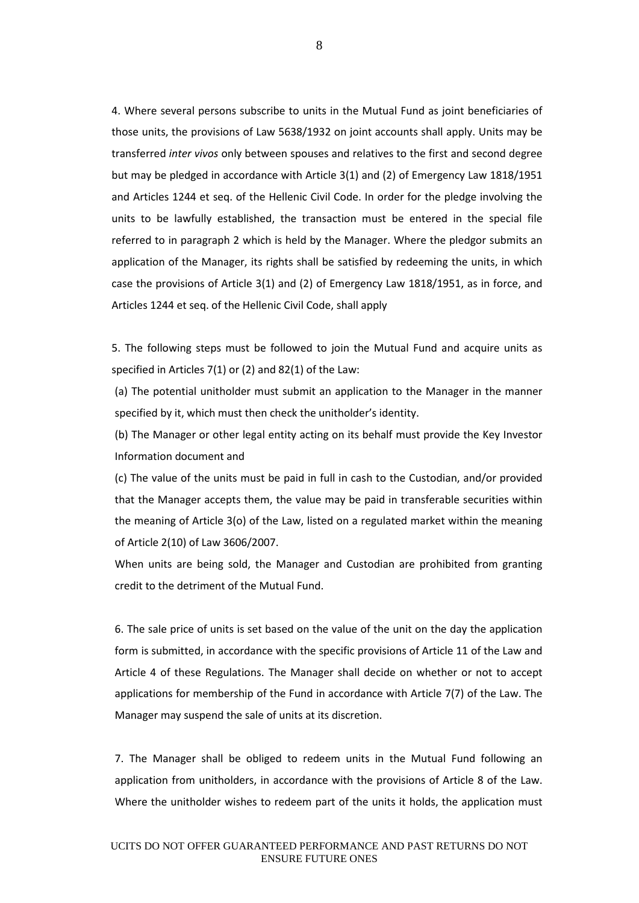4. Where several persons subscribe to units in the Mutual Fund as joint beneficiaries of those units, the provisions of Law 5638/1932 on joint accounts shall apply. Units may be transferred *inter vivos* only between spouses and relatives to the first and second degree but may be pledged in accordance with Article 3(1) and (2) of Emergency Law 1818/1951 and Articles 1244 et seq. of the Hellenic Civil Code. In order for the pledge involving the units to be lawfully established, the transaction must be entered in the special file referred to in paragraph 2 which is held by the Manager. Where the pledgor submits an application of the Manager, its rights shall be satisfied by redeeming the units, in which case the provisions of Article 3(1) and (2) of Emergency Law 1818/1951, as in force, and Articles 1244 et seq. of the Hellenic Civil Code, shall apply

5. The following steps must be followed to join the Mutual Fund and acquire units as specified in Articles 7(1) or (2) and 82(1) of the Law:

(a) The potential unitholder must submit an application to the Manager in the manner specified by it, which must then check the unitholder's identity.

(b) The Manager or other legal entity acting on its behalf must provide the Key Investor Information document and

(c) The value of the units must be paid in full in cash to the Custodian, and/or provided that the Manager accepts them, the value may be paid in transferable securities within the meaning of Article 3(o) of the Law, listed on a regulated market within the meaning of Article 2(10) of Law 3606/2007.

When units are being sold, the Manager and Custodian are prohibited from granting credit to the detriment of the Mutual Fund.

6. The sale price of units is set based on the value of the unit on the day the application form is submitted, in accordance with the specific provisions of Article 11 of the Law and Article 4 of these Regulations. The Manager shall decide on whether or not to accept applications for membership of the Fund in accordance with Article 7(7) of the Law. The Manager may suspend the sale of units at its discretion.

7. The Manager shall be obliged to redeem units in the Mutual Fund following an application from unitholders, in accordance with the provisions of Article 8 of the Law. Where the unitholder wishes to redeem part of the units it holds, the application must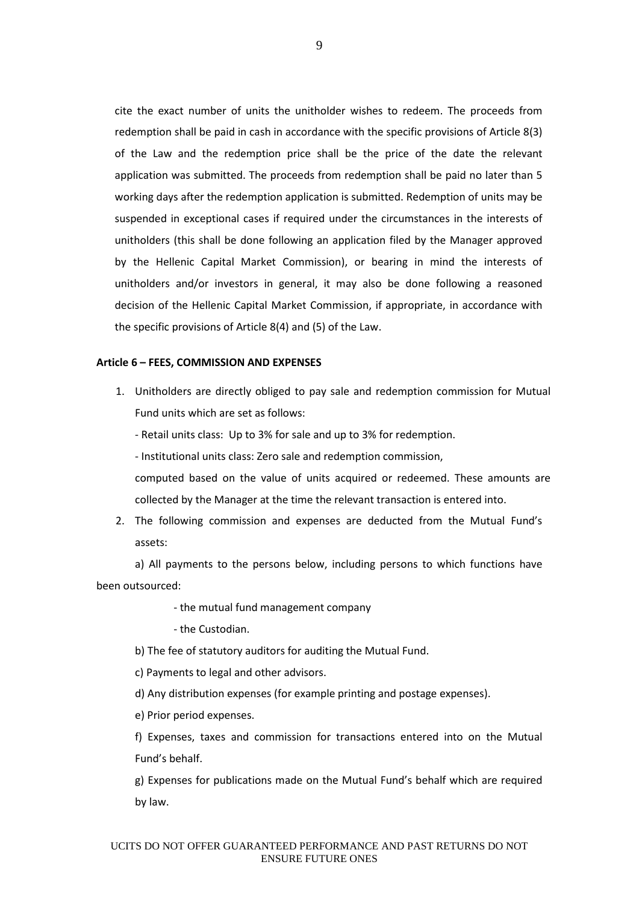cite the exact number of units the unitholder wishes to redeem. The proceeds from redemption shall be paid in cash in accordance with the specific provisions of Article 8(3) of the Law and the redemption price shall be the price of the date the relevant application was submitted. The proceeds from redemption shall be paid no later than 5 working days after the redemption application is submitted. Redemption of units may be suspended in exceptional cases if required under the circumstances in the interests of unitholders (this shall be done following an application filed by the Manager approved by the Hellenic Capital Market Commission), or bearing in mind the interests of unitholders and/or investors in general, it may also be done following a reasoned decision of the Hellenic Capital Market Commission, if appropriate, in accordance with the specific provisions of Article 8(4) and (5) of the Law.

#### **Article 6 – FEES, COMMISSION AND EXPENSES**

1. Unitholders are directly obliged to pay sale and redemption commission for Mutual Fund units which are set as follows:

- Retail units class: Up to 3% for sale and up to 3% for redemption.

- Institutional units class: Zero sale and redemption commission,

computed based on the value of units acquired or redeemed. These amounts are collected by the Manager at the time the relevant transaction is entered into.

2. The following commission and expenses are deducted from the Mutual Fund's assets:

a) All payments to the persons below, including persons to which functions have been outsourced:

- the mutual fund management company

- the Custodian.

b) The fee of statutory auditors for auditing the Mutual Fund.

c) Payments to legal and other advisors.

d) Any distribution expenses (for example printing and postage expenses).

e) Prior period expenses.

f) Expenses, taxes and commission for transactions entered into on the Mutual Fund's behalf.

g) Expenses for publications made on the Mutual Fund's behalf which are required by law.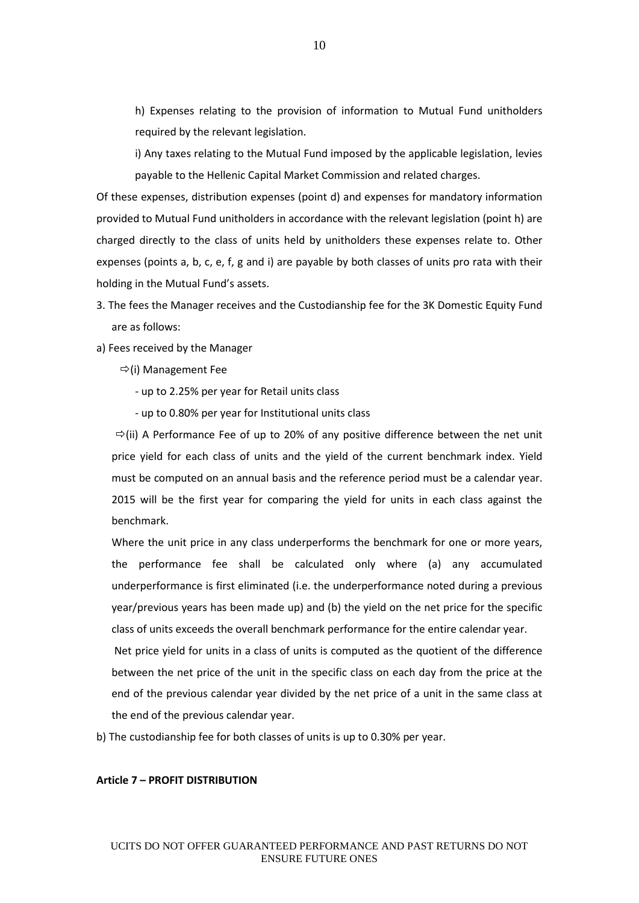h) Expenses relating to the provision of information to Mutual Fund unitholders required by the relevant legislation.

i) Any taxes relating to the Mutual Fund imposed by the applicable legislation, levies payable to the Hellenic Capital Market Commission and related charges.

Of these expenses, distribution expenses (point d) and expenses for mandatory information provided to Mutual Fund unitholders in accordance with the relevant legislation (point h) are charged directly to the class of units held by unitholders these expenses relate to. Other expenses (points a, b, c, e, f, g and i) are payable by both classes of units pro rata with their holding in the Mutual Fund's assets.

- 3. The fees the Manager receives and the Custodianship fee for the 3K Domestic Equity Fund are as follows:
- a) Fees received by the Manager
	- $\Rightarrow$ (i) Management Fee
		- up to 2.25% per year for Retail units class
		- up to 0.80% per year for Institutional units class

 $\Rightarrow$ (ii) A Performance Fee of up to 20% of any positive difference between the net unit price yield for each class of units and the yield of the current benchmark index. Yield must be computed on an annual basis and the reference period must be a calendar year. 2015 will be the first year for comparing the yield for units in each class against the benchmark.

Where the unit price in any class underperforms the benchmark for one or more years, the performance fee shall be calculated only where (a) any accumulated underperformance is first eliminated (i.e. the underperformance noted during a previous year/previous years has been made up) and (b) the yield on the net price for the specific class of units exceeds the overall benchmark performance for the entire calendar year.

Net price yield for units in a class of units is computed as the quotient of the difference between the net price of the unit in the specific class on each day from the price at the end of the previous calendar year divided by the net price of a unit in the same class at the end of the previous calendar year.

b) The custodianship fee for both classes of units is up to 0.30% per year.

#### **Article 7 – PROFIT DISTRIBUTION**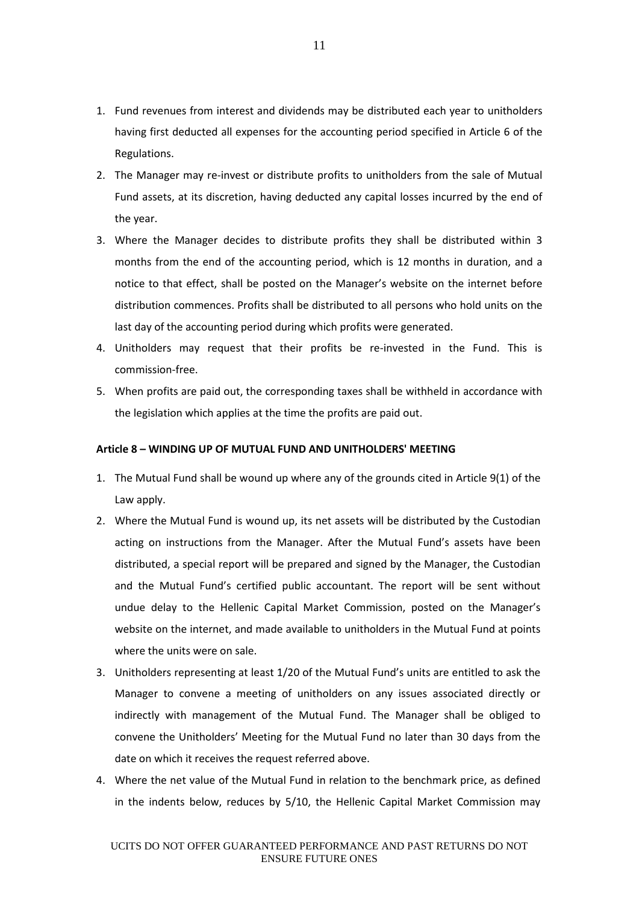- 1. Fund revenues from interest and dividends may be distributed each year to unitholders having first deducted all expenses for the accounting period specified in Article 6 of the Regulations.
- 2. The Manager may re-invest or distribute profits to unitholders from the sale of Mutual Fund assets, at its discretion, having deducted any capital losses incurred by the end of the year.
- 3. Where the Manager decides to distribute profits they shall be distributed within 3 months from the end of the accounting period, which is 12 months in duration, and a notice to that effect, shall be posted on the Manager's website on the internet before distribution commences. Profits shall be distributed to all persons who hold units on the last day of the accounting period during which profits were generated.
- 4. Unitholders may request that their profits be re-invested in the Fund. This is commission-free.
- 5. When profits are paid out, the corresponding taxes shall be withheld in accordance with the legislation which applies at the time the profits are paid out.

# **Article 8 – WINDING UP OF MUTUAL FUND AND UNITHOLDERS' MEETING**

- 1. The Mutual Fund shall be wound up where any of the grounds cited in Article 9(1) of the Law apply.
- 2. Where the Mutual Fund is wound up, its net assets will be distributed by the Custodian acting on instructions from the Manager. After the Mutual Fund's assets have been distributed, a special report will be prepared and signed by the Manager, the Custodian and the Mutual Fund's certified public accountant. The report will be sent without undue delay to the Hellenic Capital Market Commission, posted on the Manager's website on the internet, and made available to unitholders in the Mutual Fund at points where the units were on sale.
- 3. Unitholders representing at least 1/20 of the Mutual Fund's units are entitled to ask the Manager to convene a meeting of unitholders on any issues associated directly or indirectly with management of the Mutual Fund. The Manager shall be obliged to convene the Unitholders' Meeting for the Mutual Fund no later than 30 days from the date on which it receives the request referred above.
- 4. Where the net value of the Mutual Fund in relation to the benchmark price, as defined in the indents below, reduces by 5/10, the Hellenic Capital Market Commission may